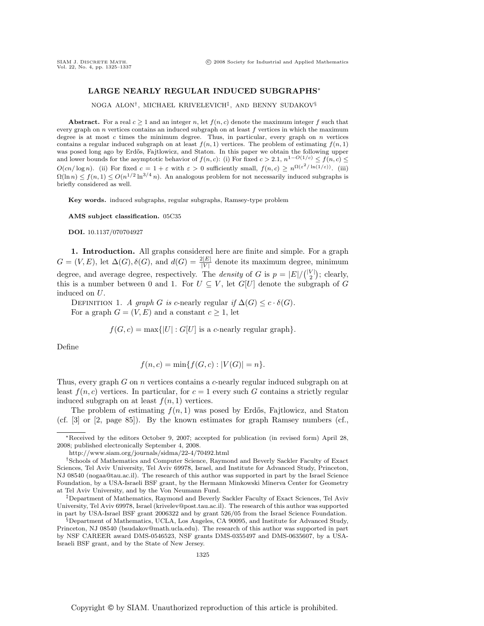# **LARGE NEARLY REGULAR INDUCED SUBGRAPHS**∗

NOGA ALON†, MICHAEL KRIVELEVICH‡, AND BENNY SUDAKOV§

**Abstract.** For a real  $c \geq 1$  and an integer n, let  $f(n, c)$  denote the maximum integer f such that every graph on  $n$  vertices contains an induced subgraph on at least  $f$  vertices in which the maximum degree is at most c times the minimum degree. Thus, in particular, every graph on  $n$  vertices contains a regular induced subgraph on at least  $f(n, 1)$  vertices. The problem of estimating  $f(n, 1)$ was posed long ago by Erdős, Fajtlowicz, and Staton. In this paper we obtain the following upper and lower bounds for the asymptotic behavior of  $f(n, c)$ : (i) For fixed  $c > 2.1$ ,  $n^{1-O(1/c)} \leq f(n, c) \leq$  $O(cn/\log n)$ . (ii) For fixed  $c = 1+\varepsilon$  with  $\varepsilon > 0$  sufficiently small,  $f(n, c) \ge n^{\Omega(\varepsilon^2/\ln(1/\varepsilon))}$ . (iii)  $\Omega(\ln n) \le f(n, 1) \le O(n^{1/2} \ln^{3/4} n)$ . An analogous problem for not necessarily induced subgraphs is briefly considered as well.

**Key words.** induced subgraphs, regular subgraphs, Ramsey-type problem

**AMS subject classification.** 05C35

**DOI.** 10.1137/070704927

**1. Introduction.** All graphs considered here are finite and simple. For a graph  $G = (V, E)$ , let  $\Delta(G), \delta(G)$ , and  $d(G) = \frac{2|E|}{|V|}$  denote its maximum degree, minimum degree, and average degree, respectively. The *density* of G is  $p = |E| / {|\binom{|V|}{2}}$ ; clearly, this is a number between 0 and 1. For  $U \subseteq V$ , let  $G[U]$  denote the subgraph of G induced on U.

DEFINITION 1. A graph G is c-nearly regular if  $\Delta(G) \leq c \cdot \delta(G)$ . For a graph  $G = (V, E)$  and a constant  $c \geq 1$ , let

 $f(G, c) = \max\{|U| : G[U]$  is a c-nearly regular graph.

Define

$$
f(n, c) = \min\{f(G, c) : |V(G)| = n\}.
$$

Thus, every graph G on n vertices contains a c-nearly regular induced subgraph on at least  $f(n, c)$  vertices. In particular, for  $c = 1$  every such G contains a strictly regular induced subgraph on at least  $f(n, 1)$  vertices.

The problem of estimating  $f(n, 1)$  was posed by Erdős, Fajtlowicz, and Staton (cf. [3] or [2, page 85]). By the known estimates for graph Ramsey numbers (cf.,

<sup>∗</sup>Received by the editors October 9, 2007; accepted for publication (in revised form) April 28, 2008; published electronically September 4, 2008.

http://www.siam.org/journals/sidma/22-4/70492.html

<sup>†</sup>Schools of Mathematics and Computer Science, Raymond and Beverly Sackler Faculty of Exact Sciences, Tel Aviv University, Tel Aviv 69978, Israel, and Institute for Advanced Study, Princeton, NJ 08540 (nogaa@tau.ac.il). The research of this author was supported in part by the Israel Science Foundation, by a USA-Israeli BSF grant, by the Hermann Minkowski Minerva Center for Geometry at Tel Aviv University, and by the Von Neumann Fund.

<sup>‡</sup>Department of Mathematics, Raymond and Beverly Sackler Faculty of Exact Sciences, Tel Aviv University, Tel Aviv 69978, Israel (krivelev@post.tau.ac.il). The research of this author was supported in part by USA-Israel BSF grant 2006322 and by grant 526/05 from the Israel Science Foundation.

<sup>§</sup>Department of Mathematics, UCLA, Los Angeles, CA 90095, and Institute for Advanced Study, Princeton, NJ 08540 (bsudakov@math.ucla.edu). The research of this author was supported in part by NSF CAREER award DMS-0546523, NSF grants DMS-0355497 and DMS-0635607, by a USA-Israeli BSF grant, and by the State of New Jersey.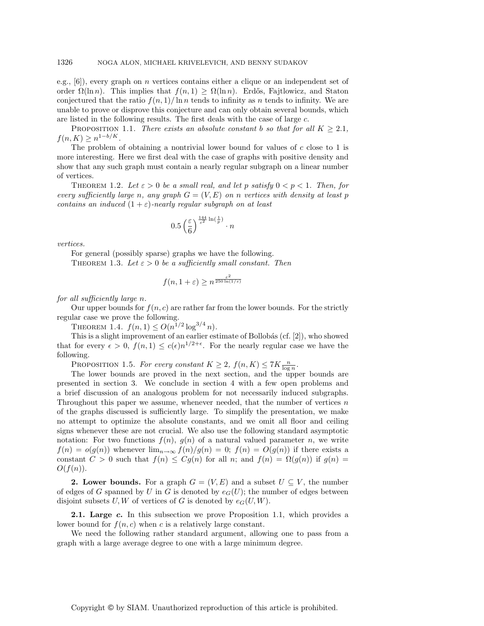e.g., [6]), every graph on n vertices contains either a clique or an independent set of order  $\Omega(\ln n)$ . This implies that  $f(n, 1) \geq \Omega(\ln n)$ . Erdős, Fajtlowicz, and Staton conjectured that the ratio  $f(n, 1)/\ln n$  tends to infinity as n tends to infinity. We are unable to prove or disprove this conjecture and can only obtain several bounds, which are listed in the following results. The first deals with the case of large c.

PROPOSITION 1.1. There exists an absolute constant b so that for all  $K \geq 2.1$ ,  $f(n, K) \geq n^{1-b/K}.$ 

The problem of obtaining a nontrivial lower bound for values of  $c$  close to 1 is more interesting. Here we first deal with the case of graphs with positive density and show that any such graph must contain a nearly regular subgraph on a linear number of vertices.

THEOREM 1.2. Let  $\varepsilon > 0$  be a small real, and let p satisfy  $0 < p < 1$ . Then, for every sufficiently large n, any graph  $G = (V, E)$  on n vertices with density at least p contains an induced  $(1 + \varepsilon)$ -nearly regular subgraph on at least

$$
0.5\left(\frac{\varepsilon}{6}\right)^{\frac{144}{\varepsilon^2}\ln(\frac{1}{p})}\cdot n
$$

vertices.

For general (possibly sparse) graphs we have the following. THEOREM 1.3. Let  $\varepsilon > 0$  be a sufficiently small constant. Then

$$
f(n, 1 + \varepsilon) \ge n^{\frac{\varepsilon^2}{250 \ln(1/\varepsilon)}}
$$

for all sufficiently large n.

Our upper bounds for  $f(n, c)$  are rather far from the lower bounds. For the strictly regular case we prove the following.

THEOREM 1.4.  $f(n, 1) \leq O(n^{1/2} \log^{3/4} n)$ .

This is a slight improvement of an earlier estimate of Bollobás (cf.  $[2]$ ), who showed that for every  $\epsilon > 0$ ,  $f(n, 1) \leq c(\epsilon)n^{1/2+\epsilon}$ . For the nearly regular case we have the following.

PROPOSITION 1.5. For every constant  $K \geq 2$ ,  $f(n,K) \leq 7K \frac{n}{\log n}$ .

The lower bounds are proved in the next section, and the upper bounds are presented in section 3. We conclude in section 4 with a few open problems and a brief discussion of an analogous problem for not necessarily induced subgraphs. Throughout this paper we assume, whenever needed, that the number of vertices  $n$ of the graphs discussed is sufficiently large. To simplify the presentation, we make no attempt to optimize the absolute constants, and we omit all floor and ceiling signs whenever these are not crucial. We also use the following standard asymptotic notation: For two functions  $f(n)$ ,  $g(n)$  of a natural valued parameter n, we write  $f(n) = o(g(n))$  whenever  $\lim_{n\to\infty} f(n)/g(n) = 0$ ;  $f(n) = O(g(n))$  if there exists a constant  $C > 0$  such that  $f(n) \leq Cg(n)$  for all n; and  $f(n) = \Omega(g(n))$  if  $g(n) =$  $O(f(n)).$ 

**2. Lower bounds.** For a graph  $G = (V, E)$  and a subset  $U \subseteq V$ , the number of edges of G spanned by U in G is denoted by  $e_G(U)$ ; the number of edges between disjoint subsets U, W of vertices of G is denoted by  $e_G(U, W)$ .

**2.1. Large** *c***.** In this subsection we prove Proposition 1.1, which provides a lower bound for  $f(n, c)$  when c is a relatively large constant.

We need the following rather standard argument, allowing one to pass from a graph with a large average degree to one with a large minimum degree.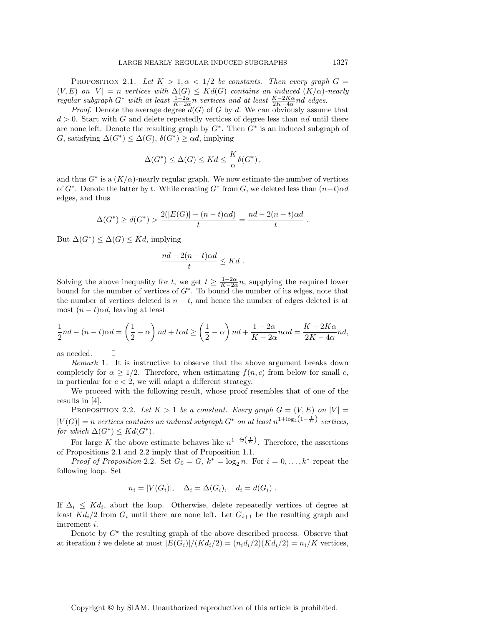PROPOSITION 2.1. Let  $K > 1, \alpha < 1/2$  be constants. Then every graph  $G =$  $(V, E)$  on  $|V| = n$  vertices with  $\Delta(G) \leq K d(G)$  contains an induced  $(K/\alpha)$ -nearly regular subgraph  $G^*$  with at least  $\frac{1-2\alpha}{K-2\alpha}n$  vertices and at least  $\frac{K-2K\alpha}{2K-4\alpha}nd$  edges.

*Proof.* Denote the average degree  $d(G)$  of G by d. We can obviously assume that  $d > 0$ . Start with G and delete repeatedly vertices of degree less than  $\alpha d$  until there are none left. Denote the resulting graph by  $G^*$ . Then  $G^*$  is an induced subgraph of G, satisfying  $\Delta(G^*) \leq \Delta(G)$ ,  $\delta(G^*) \geq \alpha d$ , implying

$$
\Delta(G^*) \leq \Delta(G) \leq K d \leq \frac{K}{\alpha} \delta(G^*) \,,
$$

and thus  $G^*$  is a  $(K/\alpha)$ -nearly regular graph. We now estimate the number of vertices of  $G^*$ . Denote the latter by t. While creating  $G^*$  from G, we deleted less than  $(n-t)\alpha d$ edges, and thus

$$
\Delta(G^*) \ge d(G^*) > \frac{2(|E(G)| - (n-t)\alpha d)}{t} = \frac{nd - 2(n-t)\alpha d}{t}.
$$

But  $\Delta(G^*) \leq \Delta(G) \leq Kd$ , implying

Ω

$$
\frac{nd - 2(n - t)\alpha d}{t} \leq Kd.
$$

Solving the above inequality for t, we get  $t \geq \frac{1-2\alpha}{K-2\alpha}n$ , supplying the required lower bound for the number of vertices of  $G^*$ . To bound the number of its edges, note that the number of vertices deleted is  $n - t$ , and hence the number of edges deleted is at most  $(n - t)\alpha d$ , leaving at least

$$
\frac{1}{2}nd - (n-t)\alpha d = \left(\frac{1}{2} - \alpha\right)nd + t\alpha d \ge \left(\frac{1}{2} - \alpha\right)nd + \frac{1-2\alpha}{K-2\alpha}n\alpha d = \frac{K-2K\alpha}{2K-4\alpha}nd,
$$

as needed.

Remark 1. It is instructive to observe that the above argument breaks down completely for  $\alpha \geq 1/2$ . Therefore, when estimating  $f(n, c)$  from below for small c, in particular for  $c < 2$ , we will adapt a different strategy.

We proceed with the following result, whose proof resembles that of one of the results in [4].

PROPOSITION 2.2. Let  $K > 1$  be a constant. Every graph  $G = (V, E)$  on  $|V| =$  $|V(G)| = n$  vertices contains an induced subgraph  $G^*$  on at least  $n^{1 + \log_2(1 - \frac{1}{K})}$  vertices, for which  $\Delta(G^*) \leq K d(G^*)$ .

For large K the above estimate behaves like  $n^{1-\Theta(\frac{1}{K})}$ . Therefore, the assertions of Propositions 2.1 and 2.2 imply that of Proposition 1.1.

*Proof of Proposition* 2.2. Set  $G_0 = G$ ,  $k^* = \log_2 n$ . For  $i = 0, \ldots, k^*$  repeat the following loop. Set

$$
n_i = |V(G_i)|, \quad \Delta_i = \Delta(G_i), \quad d_i = d(G_i) .
$$

If  $\Delta_i \leq K d_i$ , abort the loop. Otherwise, delete repeatedly vertices of degree at least  $Kd_i/2$  from  $G_i$  until there are none left. Let  $G_{i+1}$  be the resulting graph and increment i.

Denote by  $G^*$  the resulting graph of the above described process. Observe that at iteration *i* we delete at most  $|E(G_i)|/(Kd_i/2) = (n_i d_i/2)(Kd_i/2) = n_i/K$  vertices,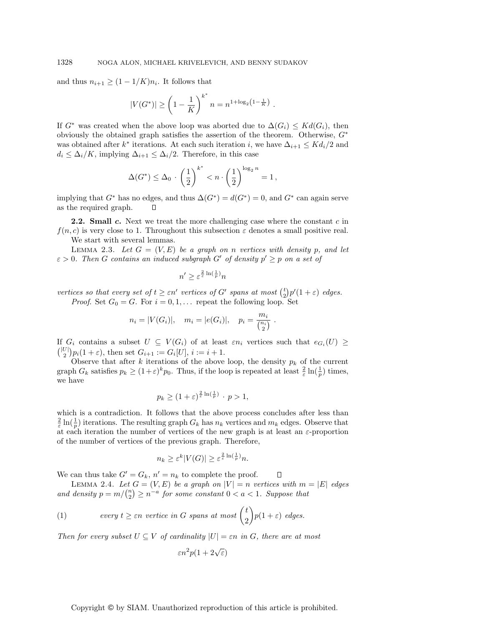and thus  $n_{i+1} \geq (1 - 1/K)n_i$ . It follows that

$$
|V(G^*)| \ge \left(1 - \frac{1}{K}\right)^{k^*} n = n^{1 + \log_2\left(1 - \frac{1}{K}\right)}.
$$

If  $G^*$  was created when the above loop was aborted due to  $\Delta(G_i) \leq K d(G_i)$ , then obviously the obtained graph satisfies the assertion of the theorem. Otherwise,  $G^*$ was obtained after  $k^*$  iterations. At each such iteration i, we have  $\Delta_{i+1} \leq K d_i/2$  and  $d_i \leq \Delta_i/K$ , implying  $\Delta_{i+1} \leq \Delta_i/2$ . Therefore, in this case

$$
\Delta(G^*) \leq \Delta_0 \cdot \left(\frac{1}{2}\right)^{k^*} < n \cdot \left(\frac{1}{2}\right)^{\log_2 n} = 1 \,,
$$

implying that  $G^*$  has no edges, and thus  $\Delta(G^*) = d(G^*) = 0$ , and  $G^*$  can again serve as the required graph.  $\Box$ 

**2.2. Small** *c***.** Next we treat the more challenging case where the constant c in  $f(n, c)$  is very close to 1. Throughout this subsection  $\varepsilon$  denotes a small positive real. We start with several lemmas.

LEMMA 2.3. Let  $G = (V, E)$  be a graph on n vertices with density p, and let  $\varepsilon > 0$ . Then G contains an induced subgraph G' of density  $p' \geq p$  on a set of

$$
n' \geq \varepsilon^{\frac{2}{\varepsilon} \ln(\frac{1}{p})} n
$$

vertices so that every set of  $t \geq \varepsilon n'$  vertices of G' spans at most  $\binom{t}{2} p' (1 + \varepsilon)$  edges. *Proof.* Set  $G_0 = G$ . For  $i = 0, 1, \ldots$  repeat the following loop. Set

$$
n_i = |V(G_i)|
$$
,  $m_i = |e(G_i)|$ ,  $p_i = \frac{m_i}{\binom{n_i}{2}}$ .

If  $G_i$  contains a subset  $U \subseteq V(G_i)$  of at least  $\varepsilon n_i$  vertices such that  $e_{G_i}(U) \geq$  $\binom{|U|}{2} p_i(1+\varepsilon)$ , then set  $G_{i+1} := G_i[U]$ ,  $i := i + 1$ .

Observe that after k iterations of the above loop, the density  $p_k$  of the current graph  $G_k$  satisfies  $p_k \geq (1+\varepsilon)^k p_0$ . Thus, if the loop is repeated at least  $\frac{2}{\varepsilon} \ln(\frac{1}{p})$  times, we have

$$
p_k \ge (1+\varepsilon)^{\frac{2}{\varepsilon}\ln(\frac{1}{p})} \cdot p > 1,
$$

which is a contradiction. It follows that the above process concludes after less than  $\frac{2}{\varepsilon} \ln(\frac{1}{p})$  iterations. The resulting graph  $G_k$  has  $n_k$  vertices and  $m_k$  edges. Observe that at each iteration the number of vertices of the new graph is at least an  $\varepsilon$ -proportion of the number of vertices of the previous graph. Therefore,

$$
n_k \ge \varepsilon^k |V(G)| \ge \varepsilon^{\frac{2}{\varepsilon} \ln\left(\frac{1}{p}\right)} n.
$$

We can thus take  $G' = G_k$ ,  $n' = n_k$  to complete the proof.

LEMMA 2.4. Let  $G = (V, E)$  be a graph on  $|V| = n$  vertices with  $m = |E|$  edges and density  $p = m / {n \choose 2} \ge n^{-a}$  for some constant  $0 < a < 1$ . Suppose that

П

(1) *every* 
$$
t \geq \varepsilon n
$$
 *vertices in*  $G$  *spans at most*  $\binom{t}{2} p(1+\varepsilon)$  *edges.*

Then for every subset  $U \subseteq V$  of cardinality  $|U| = \varepsilon n$  in G, there are at most

$$
\varepsilon n^2 p(1+2\sqrt{\varepsilon})
$$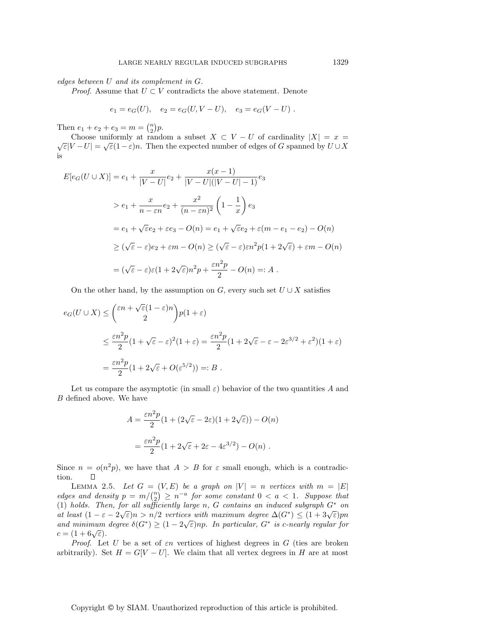*Proof.* Assume that  $U \subset V$  contradicts the above statement. Denote

$$
e_1 = e_G(U)
$$
,  $e_2 = e_G(U, V - U)$ ,  $e_3 = e_G(V - U)$ .

Then  $e_1 + e_2 + e_3 = m = \binom{n}{2} p$ .

Choose uniformly at random a subset  $X \subset V - U$  of cardinality  $|X| = x = \sqrt{\varepsilon}|V - U| = \sqrt{\varepsilon}(1-\varepsilon)n$ . Then the expected number of edges of G spanned by  $U \cup X$ is

$$
E[e_G(U \cup X)] = e_1 + \frac{x}{|V-U|}e_2 + \frac{x(x-1)}{|V-U|(|V-U|-1)}e_3
$$
  
\n
$$
> e_1 + \frac{x}{n-\varepsilon n}e_2 + \frac{x^2}{(n-\varepsilon n)^2} \left(1 - \frac{1}{x}\right)e_3
$$
  
\n
$$
= e_1 + \sqrt{\varepsilon}e_2 + \varepsilon e_3 - O(n) = e_1 + \sqrt{\varepsilon}e_2 + \varepsilon(m-e_1-e_2) - O(n)
$$
  
\n
$$
\geq (\sqrt{\varepsilon} - \varepsilon)e_2 + \varepsilon m - O(n) \geq (\sqrt{\varepsilon} - \varepsilon)\varepsilon n^2 p(1 + 2\sqrt{\varepsilon}) + \varepsilon m - O(n)
$$
  
\n
$$
= (\sqrt{\varepsilon} - \varepsilon)\varepsilon (1 + 2\sqrt{\varepsilon})n^2 p + \frac{\varepsilon n^2 p}{2} - O(n) =: A.
$$

On the other hand, by the assumption on G, every such set  $U \cup X$  satisfies

$$
e_G(U \cup X) \le \binom{\varepsilon n + \sqrt{\varepsilon}(1-\varepsilon)n}{2} p(1+\varepsilon)
$$
  

$$
\le \frac{\varepsilon n^2 p}{2} (1+\sqrt{\varepsilon}-\varepsilon)^2 (1+\varepsilon) = \frac{\varepsilon n^2 p}{2} (1+2\sqrt{\varepsilon}-\varepsilon-2\varepsilon^{3/2}+\varepsilon^2)(1+\varepsilon)
$$
  

$$
= \frac{\varepsilon n^2 p}{2} (1+2\sqrt{\varepsilon}+O(\varepsilon^{5/2})) =: B .
$$

Let us compare the asymptotic (in small  $\varepsilon$ ) behavior of the two quantities A and B defined above. We have

$$
A = \frac{\varepsilon n^2 p}{2} (1 + (2\sqrt{\varepsilon} - 2\varepsilon)(1 + 2\sqrt{\varepsilon})) - O(n)
$$
  
= 
$$
\frac{\varepsilon n^2 p}{2} (1 + 2\sqrt{\varepsilon} + 2\varepsilon - 4\varepsilon^{3/2}) - O(n) .
$$

Since  $n = o(n^2p)$ , we have that  $A > B$  for  $\varepsilon$  small enough, which is a contradiction.  $\Box$ 

LEMMA 2.5. Let  $G = (V, E)$  be a graph on  $|V| = n$  vertices with  $m = |E|$ edges and density  $p = m / {n \choose 2} \ge n^{-a}$  for some constant  $0 < a < 1$ . Suppose that (1) holds. Then, for all sufficiently large n, G contains an induced subgraph  $G^*$  on at least  $(1 - \varepsilon - 2\sqrt{\varepsilon})n > n/2$  vertices with maximum degree  $\Delta(G^*) \leq (1 + 3\sqrt{\varepsilon})pn$ and minimum degree  $\delta(G^*) \geq (1-2\sqrt{\varepsilon})np$ . In particular,  $G^*$  is c-nearly regular for and minimum degree  $\delta(G^*) \geq (1-2\sqrt{\varepsilon})np$ . In particular,  $G^*$  is c-nearly regular for  $c = (1 + 6\sqrt{\varepsilon}).$ 

Proof. Let U be a set of  $\varepsilon n$  vertices of highest degrees in G (ties are broken arbitrarily). Set  $H = G[V - U]$ . We claim that all vertex degrees in H are at most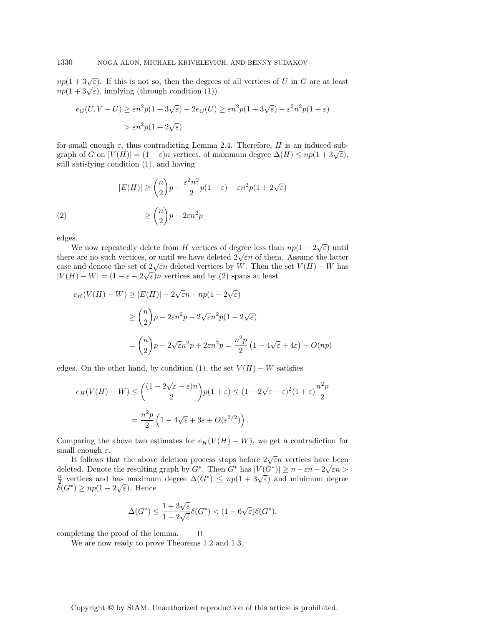$np(1+3\sqrt{\varepsilon})$ . If this is not so, then the degrees of all vertices of U in G are at least  $np(1+3\sqrt{\varepsilon})$ , implying (through condition (1))

$$
e_G(U, V - U) \ge \varepsilon n^2 p(1 + 3\sqrt{\varepsilon}) - 2e_G(U) \ge \varepsilon n^2 p(1 + 3\sqrt{\varepsilon}) - \varepsilon^2 n^2 p(1 + \varepsilon)
$$
  
>  $\varepsilon n^2 p(1 + 2\sqrt{\varepsilon})$ 

for small enough  $\varepsilon$ , thus contradicting Lemma 2.4. Therefore, H is an induced subgraph of G on  $|V(H)| = (1 - \varepsilon)n$  vertices, of maximum degree  $\Delta(H) \leq np(1 + 3\sqrt{\varepsilon}),$ still satisfying condition (1), and having

(2)  
\n
$$
|E(H)| \geq {n \choose 2}p - \frac{\varepsilon^2 n^2}{2}p(1+\varepsilon) - \varepsilon n^2 p(1+2\sqrt{\varepsilon})
$$
\n
$$
\geq {n \choose 2}p - 2\varepsilon n^2 p
$$

edges.

S.<br>We now repeatedly delete from H vertices of degree less than  $np(1-2\sqrt{\varepsilon})$  until there are no such vertices, or until we have deleted  $2\sqrt{\varepsilon}n$  of them. Assume the latter case and denote the set of  $2\sqrt{\varepsilon}n$  deleted vertices by W. Then the set  $V(H) - W$  has  $|V(H) - W| = (1 - \varepsilon - 2\sqrt{\varepsilon})n$  vertices and by (2) spans at least

$$
e_H(V(H) - W) \ge |E(H)| - 2\sqrt{\varepsilon}n \cdot np(1 - 2\sqrt{\varepsilon})
$$
  

$$
\ge {n \choose 2}p - 2\varepsilon n^2p - 2\sqrt{\varepsilon}n^2p(1 - 2\sqrt{\varepsilon})
$$
  

$$
= {n \choose 2}p - 2\sqrt{\varepsilon}n^2p + 2\varepsilon n^2p = \frac{n^2p}{2}(1 - 4\sqrt{\varepsilon} + 4\varepsilon) - O(np)
$$

edges. On the other hand, by condition (1), the set  $V(H) - W$  satisfies

$$
e_H(V(H) - W) \le \binom{(1 - 2\sqrt{\varepsilon} - \varepsilon)n}{2} p(1 + \varepsilon) \le (1 - 2\sqrt{\varepsilon} - \varepsilon)^2 (1 + \varepsilon) \frac{n^2 p}{2}
$$

$$
= \frac{n^2 p}{2} \left( 1 - 4\sqrt{\varepsilon} + 3\varepsilon + O(\varepsilon^{3/2}) \right).
$$

Comparing the above two estimates for  $e_H(V(H) - W)$ , we get a contradiction for small enough  $\varepsilon$ .

It follows that the above deletion process stops before  $2\sqrt{\varepsilon}n$  vertices have been The result of the resulting graph by  $G^*$ . Then  $G^*$  has  $|V(G^*)| \ge n - \varepsilon n - 2\sqrt{\varepsilon}n >$ defected. Denote the resulting graph by  $G$ . Then  $G$  has  $|V(G)| \geq n - \varepsilon n - 2\sqrt{\varepsilon n} > \frac{n}{2}$  vertices and has maximum degree  $\Delta(G^*) \leq np(1 + 3\sqrt{\varepsilon})$  and minimum degree  $\frac{1}{2}$  vertices and nas maximum<br> $\delta(G^*) \ge np(1-2\sqrt{\varepsilon})$ . Hence

$$
\Delta(G^*) \le \frac{1 + 3\sqrt{\varepsilon}}{1 - 2\sqrt{\varepsilon}} \delta(G^*) < (1 + 6\sqrt{\varepsilon})\delta(G^*),
$$

 $\Box$ 

completing the proof of the lemma.

We are now ready to prove Theorems 1.2 and 1.3.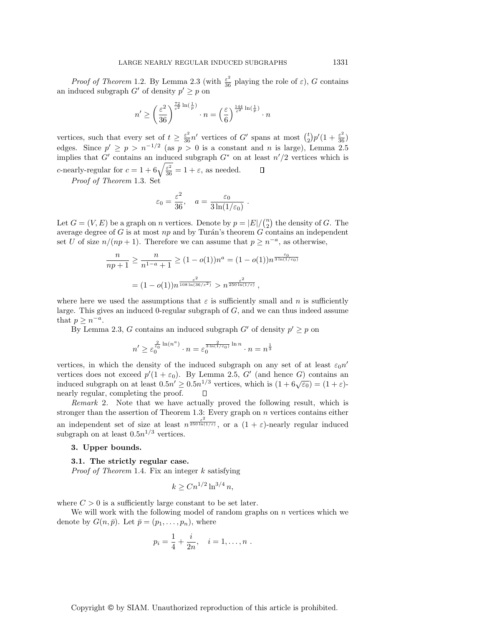*Proof of Theorem* 1.2. By Lemma 2.3 (with  $\frac{\varepsilon^2}{36}$  playing the role of  $\varepsilon$ ), G contains an induced subgraph  $G'$  of density  $p' \geq p$  on

$$
n' \ge \left(\frac{\varepsilon^2}{36}\right)^{\frac{72}{\varepsilon^2} \ln(\frac{1}{p})} \cdot n = \left(\frac{\varepsilon}{6}\right)^{\frac{144}{\varepsilon^2} \ln(\frac{1}{p})} \cdot n
$$

vertices, such that every set of  $t \ge \frac{\varepsilon^2}{36} n'$  vertices of G' spans at most  $\binom{t}{2} p' (1 + \frac{\varepsilon^2}{36})$ edges. Since  $p' \ge p > n^{-1/2}$  (as  $p > 0$  is a constant and n is large), Lemma 2.5 implies that G' contains an induced subgraph  $G^*$  on at least  $n'/2$  vertices which is c-nearly-regular for  $c = 1 + 6\sqrt{\frac{\varepsilon^2}{36}} = 1 + \varepsilon$ , as needed.  $\Box$ 

Proof of Theorem 1.3. Set

$$
\varepsilon_0 = \frac{\varepsilon^2}{36}
$$
,  $a = \frac{\varepsilon_0}{3 \ln(1/\varepsilon_0)}$ .

Let  $G = (V, E)$  be a graph on *n* vertices. Denote by  $p = |E| / {n \choose 2}$  the density of *G*. The average degree of G is at most  $np$  and by Turán's theorem G contains an independent set U of size  $n/(np+1)$ . Therefore we can assume that  $p \geq n^{-a}$ , as otherwise,

$$
\frac{n}{np+1} \ge \frac{n}{n^{1-a}+1} \ge (1-o(1))n^a = (1-o(1))n^{\frac{\varepsilon_0}{3\ln(1/\varepsilon_0)}}
$$

$$
= (1-o(1))n^{\frac{\varepsilon^2}{108\ln(36/\varepsilon^2)}} > n^{\frac{\varepsilon^2}{250\ln(1/\varepsilon)}},
$$

where here we used the assumptions that  $\varepsilon$  is sufficiently small and n is sufficiently large. This gives an induced 0-regular subgraph of  $G$ , and we can thus indeed assume that  $p \geq n^{-a}$ .

By Lemma 2.3, G contains an induced subgraph G' of density  $p' \geq p$  on

$$
n' \ge \varepsilon_0^{\frac{2}{\varepsilon_0} \ln(n^a)} \cdot n = \varepsilon_0^{\frac{2}{3\ln(1/\varepsilon_0)} \ln n} \cdot n = n^{\frac{1}{3}}
$$

vertices, in which the density of the induced subgraph on any set of at least  $\varepsilon_0 n'$ vertices does not exceed  $p'(1 + \varepsilon_0)$ . By Lemma 2.5, G' (and hence G) contains an induced subgraph on at least  $0.5n' \ge 0.5n^{1/3}$  vertices, which is  $(1 + 6\sqrt{\varepsilon_0}) = (1 + \varepsilon)$ nearly regular, completing the proof.  $\Box$ 

Remark 2. Note that we have actually proved the following result, which is stronger than the assertion of Theorem 1.3: Every graph on n vertices contains either an independent set of size at least  $n^{\frac{\varepsilon^2}{250 \ln(1/\varepsilon)}},$  or a  $(1+\varepsilon)$ -nearly regular induced subgraph on at least  $0.5n^{1/3}$  vertices.

# **3. Upper bounds.**

## **3.1. The strictly regular case.**

*Proof of Theorem* 1.4. Fix an integer  $k$  satisfying

$$
k \ge C n^{1/2} \ln^{3/4} n,
$$

where  $C > 0$  is a sufficiently large constant to be set later.

We will work with the following model of random graphs on  $n$  vertices which we denote by  $G(n, \bar{p})$ . Let  $\bar{p} = (p_1, \ldots, p_n)$ , where

$$
p_i = \frac{1}{4} + \frac{i}{2n}, \quad i = 1, \dots, n
$$
.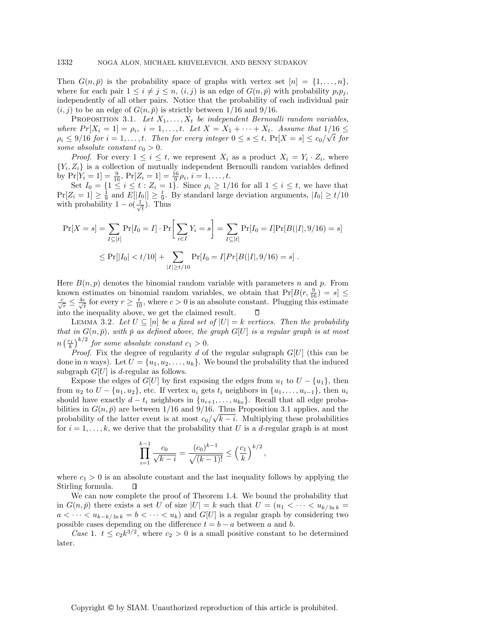Then  $G(n, \bar{p})$  is the probability space of graphs with vertex set  $[n] = \{1, \ldots, n\}$ , where for each pair  $1 \leq i \neq j \leq n$ ,  $(i, j)$  is an edge of  $G(n, \bar{p})$  with probability  $p_i p_j$ , independently of all other pairs. Notice that the probability of each individual pair  $(i, j)$  to be an edge of  $G(n, \bar{p})$  is strictly between 1/16 and 9/16.

PROPOSITION 3.1. Let  $X_1, \ldots, X_t$  be independent Bernoulli random variables, where  $Pr[X_i = 1] = \rho_i$ ,  $i = 1, ..., t$ . Let  $X = X_1 + \cdots + X_t$ . Assume that  $1/16 \le$ where  $Pr[X_i = 1] = p_i$ ,  $i = 1,...,t$ . Let  $\Lambda = \Lambda_1 + \cdots + \Lambda_t$ . Assume that  $1/10 \le \rho_i \le 9/16$  for  $i = 1,...,t$ . Then for every integer  $0 \le s \le t$ ,  $Pr[X = s] \le c_0/\sqrt{t}$  for some absolute constant  $c_0 > 0$ .

*Proof.* For every  $1 \leq i \leq t$ , we represent  $X_i$  as a product  $X_i = Y_i \cdot Z_i$ , where  ${Y_i, Z_i}$  is a collection of mutually independent Bernoulli random variables defined by  $Pr[Y_i = 1] = \frac{9}{16}, Pr[Z_i = 1] = \frac{16}{9}\rho_i, i = 1, ..., t.$ 

Set  $I_0 = \{1 \le i \le t : Z_i = 1\}$ . Since  $\rho_i \ge 1/16$  for all  $1 \le i \le t$ , we have that  $Pr[Z_i = 1] \ge \frac{1}{9}$  and  $E[[I_0]] \ge \frac{t}{9}$ . By standard large deviation arguments,  $|I_0| \ge t/10$ with probability  $1-o(\frac{1}{\sqrt{2}})$  $\frac{1}{\overline{t}}$ ). Thus

$$
\Pr[X = s] = \sum_{I \subseteq [t]} \Pr[I_0 = I] \cdot \Pr\left[\sum_{i \in I} Y_i = s\right] = \sum_{I \subseteq [t]} \Pr[I_0 = I] \Pr[B(|I|, 9/16) = s]
$$
  

$$
\leq \Pr[|I_0| < t/10] + \sum_{|I| \geq t/10} \Pr[I_0 = I] \Pr[B(|I|, 9/16) = s].
$$

Here  $B(n, p)$  denotes the binomial random variable with parameters n and p. From known estimates on binomial random variables, we obtain that  $Pr[B(r, \frac{9}{16}) = s] \leq$  $\frac{c}{\sqrt{r}} \leq \frac{4c}{\sqrt{t}}$  for every  $r \geq \frac{t}{10}$ , where  $c > 0$  is an absolute constant. Plugging this estimate into the inequality above, we get the claimed result.

LEMMA 3.2. Let  $U \subseteq [n]$  be a fixed set of  $|U| = k$  vertices. Then the probability that in  $G(n, \bar{p})$ , with  $\bar{p}$  as defined above, the graph  $G[U]$  is a regular graph is at most  $n\left(\frac{c_1}{k}\right)^{k/2}$  for some absolute constant  $c_1 > 0$ .

*Proof.* Fix the degree of regularity d of the regular subgraph  $G[U]$  (this can be done in n ways). Let  $U = \{u_1, u_2, \ldots, u_k\}$ . We bound the probability that the induced subgraph  $G[U]$  is d-regular as follows.

Expose the edges of  $G[U]$  by first exposing the edges from  $u_1$  to  $U - \{u_1\}$ , then from  $u_2$  to  $U - \{u_1, u_2\}$ , etc. If vertex  $u_i$  gets  $t_i$  neighbors in  $\{u_1, \ldots, u_{i-1}\}$ , then  $u_i$ should have exactly  $d - t_i$  neighbors in  $\{u_{i+1}, \ldots, u_{k_0}\}$ . Recall that all edge probabilities in  $G(n, \bar{p})$  are between 1/16 and 9/16. Thus Proposition 3.1 applies, and the probability of the latter event is at most  $c_0/\sqrt{k-i}$ . Multiplying these probabilities for  $i = 1, \ldots, k$ , we derive that the probability that U is a d-regular graph is at most

$$
\prod_{i=1}^{k-1} \frac{c_0}{\sqrt{k-i}} = \frac{(c_0)^{k-1}}{\sqrt{(k-1)!}} \le \left(\frac{c_1}{k}\right)^{k/2},
$$

where  $c_1 > 0$  is an absolute constant and the last inequality follows by applying the Stirling formula.  $\Box$ 

We can now complete the proof of Theorem 1.4. We bound the probability that in  $G(n, \bar{p})$  there exists a set U of size  $|U| = k$  such that  $U = (u_1 \lt \cdots \lt u_{k/\ln k})$  $a < \cdots < u_{k-k/\ln k} = b < \cdots < u_k$  and  $G[U]$  is a regular graph by considering two possible cases depending on the difference  $t = b - a$  between a and b.

Case 1.  $t \le c_2 k^{3/2}$ , where  $c_2 > 0$  is a small positive constant to be determined later.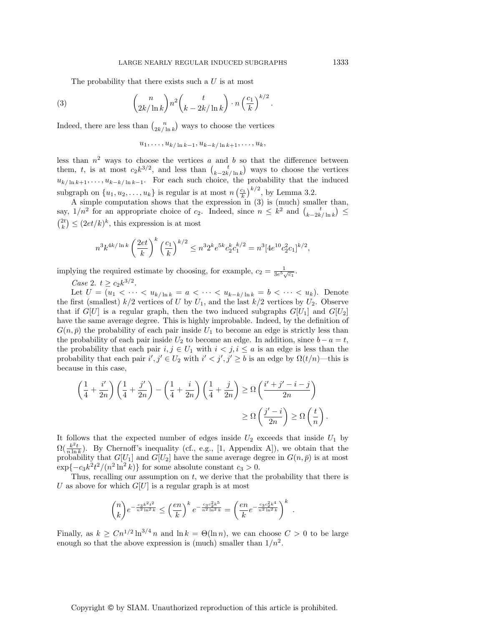.

The probability that there exists such a  $U$  is at most

(3) 
$$
{\binom{n}{2k/\ln k}} n^2 {\binom{t}{k-2k/\ln k}} \cdot n {\binom{c_1}{k}}^{k/2}
$$

Indeed, there are less than  $\binom{n}{2k/\ln k}$  ways to choose the vertices

$$
u_1,\ldots,u_{k/\ln k-1},u_{k-k/\ln k+1},\ldots,u_k,
$$

less than  $n^2$  ways to choose the vertices a and b so that the difference between them, t, is at most  $c_2k^{3/2}$ , and less than  $\binom{t}{k-2k/\ln k}$  ways to choose the vertices  $u_{k/\ln k+1},\ldots,u_{k-k/\ln k-1}$ . For each such choice, the probability that the induced subgraph on  $\{u_1, u_2, \ldots, u_k\}$  is regular is at most  $n \left(\frac{c_1}{k}\right)^{k/2}$ , by Lemma 3.2.

A simple computation shows that the expression in  $(3)$  is (much) smaller than, say,  $1/n^2$  for an appropriate choice of  $c_2$ . Indeed, since  $n \leq k^2$  and  $\binom{t}{k-2k/\ln k} \leq$  $\binom{2t}{k} \leq (2et/k)^k$ , this expression is at most

$$
n^3 k^{4k/\ln k} \left(\frac{2et}{k}\right)^k \left(\frac{c_1}{k}\right)^{k/2} \leq n^3 2^k e^{5k} c_2^k c_1^{k/2} = n^3 [4e^{10} c_2^2 c_1]^{k/2},
$$

implying the required estimate by choosing, for example,  $c_2 = \frac{1}{3e^5\sqrt{c_1}}$ .

*Case 2.*  $t \ge c_2 k^{3/2}$ .

Let  $U = (u_1 < \cdots < u_{k/\ln k} = a < \cdots < u_{k-k/\ln k} = b < \cdots < u_k)$ . Denote the first (smallest)  $k/2$  vertices of U by  $U_1$ , and the last  $k/2$  vertices by  $U_2$ . Observe that if  $G[U]$  is a regular graph, then the two induced subgraphs  $G[U_1]$  and  $G[U_2]$ have the same average degree. This is highly improbable. Indeed, by the definition of  $G(n, \bar{p})$  the probability of each pair inside  $U_1$  to become an edge is strictly less than the probability of each pair inside  $U_2$  to become an edge. In addition, since  $b - a = t$ , the probability that each pair  $i, j \in U_1$  with  $i < j, i \le a$  is an edge is less than the probability that each pair  $i', j' \in U_2$  with  $i' < j', j' \ge b$  is an edge by  $\Omega(t/n)$ —this is because in this case,

$$
\left(\frac{1}{4} + \frac{i'}{2n}\right)\left(\frac{1}{4} + \frac{j'}{2n}\right) - \left(\frac{1}{4} + \frac{i}{2n}\right)\left(\frac{1}{4} + \frac{j}{2n}\right) \ge \Omega\left(\frac{i' + j' - i - j}{2n}\right)
$$

$$
\ge \Omega\left(\frac{j' - i}{2n}\right) \ge \Omega\left(\frac{t}{n}\right).
$$

It follows that the expected number of edges inside  $U_2$  exceeds that inside  $U_1$  by  $\Omega(\frac{k^2t}{n\ln k})$ . By Chernoff's inequality (cf., e.g., [1, Appendix A]), we obtain that the probability that  $G[U_1]$  and  $G[U_2]$  have the same average degree in  $G(n, \bar{p})$  is at most  $\exp\{-c_3k^2t^2/(n^2\ln^2 k)\}\)$  for some absolute constant  $c_3 > 0$ .

Thus, recalling our assumption on  $t$ , we derive that the probability that there is U as above for which  $G[U]$  is a regular graph is at most

$$
\binom{n}{k} e^{-\frac{c_3 k^2 t^2}{n^2 \ln^2 k}} \leq \left(\frac{en}{k}\right)^k e^{-\frac{c_3 c_2^2 k^5}{n^2 \ln^2 k}} = \left(\frac{en}{k} e^{-\frac{c_3 c_2^2 k^4}{n^2 \ln^2 k}}\right)^k.
$$

Finally, as  $k \geq C n^{1/2} \ln^{3/4} n$  and  $\ln k = \Theta(\ln n)$ , we can choose  $C > 0$  to be large enough so that the above expression is (much) smaller than  $1/n^2$ .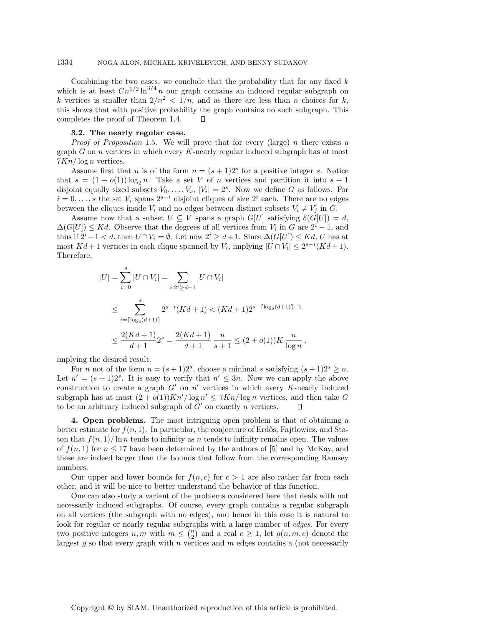Combining the two cases, we conclude that the probability that for any fixed  $k$ which is at least  $Cn^{1/2}$  ln<sup>3/4</sup> n our graph contains an induced regular subgraph on k vertices is smaller than  $2/n^2 < 1/n$ , and as there are less than n choices for k, this shows that with positive probability the graph contains no such subgraph. This completes the proof of Theorem 1.4.  $\Box$ 

### **3.2. The nearly regular case.**

*Proof of Proposition* 1.5. We will prove that for every (large) n there exists a graph  $G$  on  $n$  vertices in which every  $K$ -nearly regular induced subgraph has at most  $7Kn/\log n$  vertices.

Assume first that n is of the form  $n = (s + 1)2<sup>s</sup>$  for a positive integer s. Notice that  $s = (1 - o(1)) \log_2 n$ . Take a set V of n vertices and partition it into  $s + 1$ disjoint equally sized subsets  $V_0, \ldots, V_s$ ,  $|V_i| = 2^s$ . Now we define G as follows. For  $i = 0, \ldots, s$  the set  $V_i$  spans  $2^{s-i}$  disjoint cliques of size  $2^i$  each. There are no edges between the cliques inside  $V_i$  and no edges between distinct subsets  $V_i \neq V_j$  in G.

Assume now that a subset  $U \subseteq V$  spans a graph  $G[U]$  satisfying  $\delta(G[U]) = d$ ,  $\Delta(G[U]) \leq Kd$ . Observe that the degrees of all vertices from  $V_i$  in G are  $2^i - 1$ , and thus if  $2^{i} - 1 < d$ , then  $U \cap V_i = \emptyset$ . Let now  $2^{i} \geq d+1$ . Since  $\Delta(G[U]) \leq Kd$ , U has at most  $Kd+1$  vertices in each clique spanned by  $V_i$ , implying  $|U \cap V_i| \leq 2^{s-i}(Kd+1)$ . Therefore,

$$
|U| = \sum_{i=0}^{s} |U \cap V_i| = \sum_{i:2^i \ge d+1} |U \cap V_i|
$$
  
\n
$$
\le \sum_{i=\lceil \log_2(d+1) \rceil}^{s} 2^{s-i} (Kd+1) < (Kd+1)2^{s-\lceil \log_2(d+1) \rceil+1}
$$
  
\n
$$
\le \frac{2(Kd+1)}{d+1} 2^s = \frac{2(Kd+1)}{d+1} \frac{n}{s+1} \le (2+o(1))K \frac{n}{\log n},
$$

implying the desired result.

For *n* not of the form  $n = (s + 1)2^s$ , choose a minimal *s* satisfying  $(s + 1)2^s \ge n$ . Let  $n' = (s + 1)2<sup>s</sup>$ . It is easy to verify that  $n' \leq 3n$ . Now we can apply the above construction to create a graph  $G'$  on  $n'$  vertices in which every K-nearly induced subgraph has at most  $(2+o(1))Kn'/\log n' \leq 7Kn/\log n$  vertices, and then take G to be an arbitrary induced subgraph of  $G'$  on exactly n vertices.

**4. Open problems.** The most intriguing open problem is that of obtaining a better estimate for  $f(n, 1)$ . In particular, the conjecture of Erdős, Fajtlowicz, and Staton that  $f(n, 1)/\ln n$  tends to infinity as n tends to infinity remains open. The values of  $f(n, 1)$  for  $n \leq 17$  have been determined by the authors of [5] and by McKay, and these are indeed larger than the bounds that follow from the corresponding Ramsey numbers.

Our upper and lower bounds for  $f(n, c)$  for  $c > 1$  are also rather far from each other, and it will be nice to better understand the behavior of this function.

One can also study a variant of the problems considered here that deals with not necessarily induced subgraphs. Of course, every graph contains a regular subgraph on all vertices (the subgraph with no edges), and hence in this case it is natural to look for regular or nearly regular subgraphs with a large number of *edges*. For every two positive integers  $n, m$  with  $m \leq {n \choose 2}$  and a real  $c \geq 1$ , let  $g(n, m, c)$  denote the largest  $g$  so that every graph with  $n$  vertices and  $m$  edges contains a (not necessarily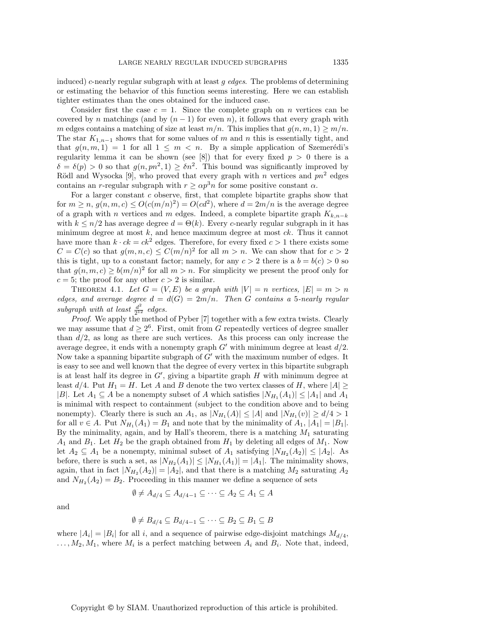induced) c-nearly regular subgraph with at least  $g$  edges. The problems of determining or estimating the behavior of this function seems interesting. Here we can establish tighter estimates than the ones obtained for the induced case.

Consider first the case  $c = 1$ . Since the complete graph on n vertices can be covered by n matchings (and by  $(n-1)$  for even n), it follows that every graph with m edges contains a matching of size at least  $m/n$ . This implies that  $g(n, m, 1) \geq m/n$ . The star  $K_{1,n-1}$  shows that for some values of m and n this is essentially tight, and that  $g(n, m, 1) = 1$  for all  $1 \leq m < n$ . By a simple application of Szemerédi's regularity lemma it can be shown (see [8]) that for every fixed  $p > 0$  there is a  $\delta = \delta(p) > 0$  so that  $g(n, pn^2, 1) \geq \delta n^2$ . This bound was significantly improved by Rödl and Wysocka [9], who proved that every graph with n vertices and  $pn^2$  edges contains an r-regular subgraph with  $r \ge \alpha p^3 n$  for some positive constant  $\alpha$ .

For a larger constant  $c$  observe, first, that complete bipartite graphs show that for  $m \ge n$ ,  $g(n, m, c) \le O(c(m/n)^2) = O(cd^2)$ , where  $d = 2m/n$  is the average degree of a graph with n vertices and m edges. Indeed, a complete bipartite graph  $K_{k,n-k}$ with  $k \leq n/2$  has average degree  $d = \Theta(k)$ . Every c-nearly regular subgraph in it has minimum degree at most  $k$ , and hence maximum degree at most  $ck$ . Thus it cannot have more than  $k \cdot ck = ck^2$  edges. Therefore, for every fixed  $c > 1$  there exists some  $C = C(c)$  so that  $g(m, n, c) \leq C(m/n)^2$  for all  $m > n$ . We can show that for  $c > 2$ this is tight, up to a constant factor; namely, for any  $c > 2$  there is a  $b = b(c) > 0$  so that  $g(n, m, c) \ge b(m/n)^2$  for all  $m > n$ . For simplicity we present the proof only for  $c = 5$ ; the proof for any other  $c > 2$  is similar.

THEOREM 4.1. Let  $G = (V, E)$  be a graph with  $|V| = n$  vertices,  $|E| = m > n$ edges, and average degree  $d = d(G) = 2m/n$ . Then G contains a 5-nearly regular subgraph with at least  $\frac{d^2}{2^{12}}$  edges.

Proof. We apply the method of Pyber [7] together with a few extra twists. Clearly we may assume that  $d \geq 2^6$ . First, omit from G repeatedly vertices of degree smaller than  $d/2$ , as long as there are such vertices. As this process can only increase the average degree, it ends with a nonempty graph  $G'$  with minimum degree at least  $d/2$ . Now take a spanning bipartite subgraph of  $G'$  with the maximum number of edges. It is easy to see and well known that the degree of every vertex in this bipartite subgraph is at least half its degree in  $G'$ , giving a bipartite graph H with minimum degree at least  $d/4$ . Put  $H_1 = H$ . Let A and B denote the two vertex classes of H, where  $|A| \ge$ |B|. Let  $A_1 \subseteq A$  be a nonempty subset of A which satisfies  $|N_{H_1}(A_1)| \leq |A_1|$  and  $A_1$ is minimal with respect to containment (subject to the condition above and to being nonempty). Clearly there is such an  $A_1$ , as  $|N_{H_1}(A)| \leq |A|$  and  $|N_{H_1}(v)| \geq d/4 > 1$ for all  $v \in A$ . Put  $N_{H_1}(A_1) = B_1$  and note that by the minimality of  $A_1$ ,  $|A_1| = |B_1|$ . By the minimality, again, and by Hall's theorem, there is a matching  $M_1$  saturating  $A_1$  and  $B_1$ . Let  $H_2$  be the graph obtained from  $H_1$  by deleting all edges of  $M_1$ . Now let  $A_2 \subseteq A_1$  be a nonempty, minimal subset of  $A_1$  satisfying  $|N_{H_2}(A_2)| \leq |A_2|$ . As before, there is such a set, as  $|N_{H_2}(A_1)| \leq |N_{H_1}(A_1)| = |A_1|$ . The minimality shows, again, that in fact  $|N_{H_2}(A_2)| = |A_2|$ , and that there is a matching  $M_2$  saturating  $A_2$ and  $N_{H_2}(A_2) = B_2$ . Proceeding in this manner we define a sequence of sets

$$
\emptyset \neq A_{d/4} \subseteq A_{d/4-1} \subseteq \cdots \subseteq A_2 \subseteq A_1 \subseteq A
$$

and

$$
\emptyset \neq B_{d/4} \subseteq B_{d/4-1} \subseteq \cdots \subseteq B_2 \subseteq B_1 \subseteq B
$$

where  $|A_i| = |B_i|$  for all i, and a sequence of pairwise edge-disjoint matchings  $M_{d/4}$ ,  $\ldots, M_2, M_1$ , where  $M_i$  is a perfect matching between  $A_i$  and  $B_i$ . Note that, indeed,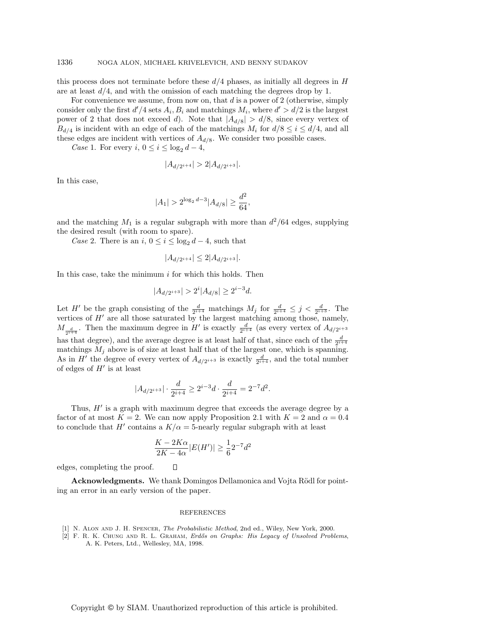this process does not terminate before these  $d/4$  phases, as initially all degrees in  $H$ are at least  $d/4$ , and with the omission of each matching the degrees drop by 1.

For convenience we assume, from now on, that  $d$  is a power of 2 (otherwise, simply consider only the first  $d'/4$  sets  $A_i, B_i$  and matchings  $M_i$ , where  $d' > d/2$  is the largest power of 2 that does not exceed d). Note that  $|A_{d/8}| > d/8$ , since every vertex of  $B_{d/4}$  is incident with an edge of each of the matchings  $M_i$  for  $d/8 \leq i \leq d/4$ , and all these edges are incident with vertices of  $A_{d/8}$ . We consider two possible cases.

Case 1. For every  $i, 0 \leq i \leq \log_2 d - 4$ ,

$$
|A_{d/2^{i+4}}| > 2|A_{d/2^{i+3}}|.
$$

In this case,

$$
|A_1| > 2^{\log_2 d - 3} |A_{d/8}| \ge \frac{d^2}{64},
$$

and the matching  $M_1$  is a regular subgraph with more than  $d^2/64$  edges, supplying the desired result (with room to spare).

Case 2. There is an i,  $0 \le i \le \log_2 d - 4$ , such that

$$
|A_{d/2^{i+4}}| \le 2|A_{d/2^{i+3}}|.
$$

In this case, take the minimum  $i$  for which this holds. Then

$$
|A_{d/2^{i+3}}| > 2^i |A_{d/8}| \ge 2^{i-3}d.
$$

Let H' be the graph consisting of the  $\frac{d}{2^{i+4}}$  matchings  $M_j$  for  $\frac{d}{2^{i+4}} \leq j < \frac{d}{2^{i+3}}$ . The vertices of  $H'$  are all those saturated by the largest matching among those, namely,  $M_{\frac{d}{2^{i+4}}}$ . Then the maximum degree in  $H'$  is exactly  $\frac{d}{2^{i+4}}$  (as every vertex of  $A_{d/2^{i+3}}$ has that degree), and the average degree is at least half of that, since each of the  $\frac{d}{2^{i+4}}$ matchings  $M_j$  above is of size at least half that of the largest one, which is spanning. As in H' the degree of every vertex of  $A_{d/2^{i+3}}$  is exactly  $\frac{d}{2^{i+4}}$ , and the total number of edges of  $H'$  is at least

$$
|A_{d/2^{i+3}}| \cdot \frac{d}{2^{i+4}} \ge 2^{i-3}d \cdot \frac{d}{2^{i+4}} = 2^{-7}d^2.
$$

Thus,  $H'$  is a graph with maximum degree that exceeds the average degree by a factor of at most  $K = 2$ . We can now apply Proposition 2.1 with  $K = 2$  and  $\alpha = 0.4$ to conclude that H' contains a  $K/\alpha = 5$ -nearly regular subgraph with at least

$$
\frac{K - 2K\alpha}{2K - 4\alpha}|E(H')| \ge \frac{1}{6}2^{-7}d^2
$$

edges, completing the proof.

**Acknowledgments.** We thank Domingos Dellamonica and Vojta Rödl for pointing an error in an early version of the paper.

 $\Box$ 

#### REFERENCES

- [1] N. Alon and J. H. Spencer, The Probabilistic Method, 2nd ed., Wiley, New York, 2000.
- [2] F. R. K. CHUNG AND R. L. GRAHAM, Erdős on Graphs: His Legacy of Unsolved Problems, A. K. Peters, Ltd., Wellesley, MA, 1998.